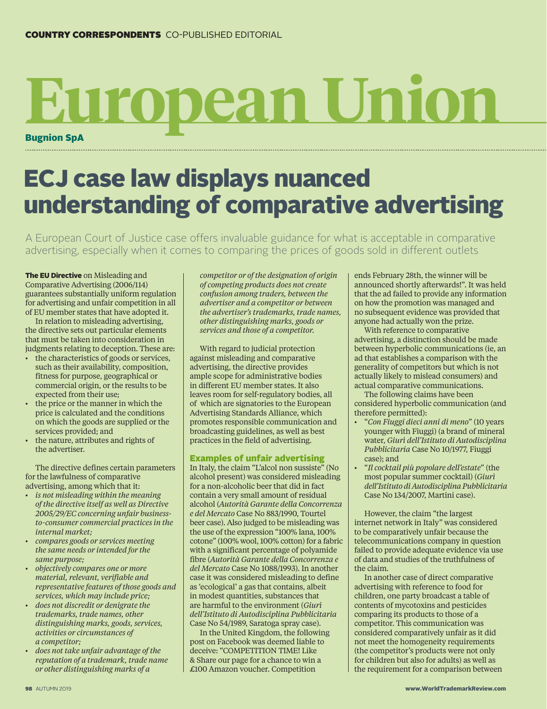## Bugnion SpA **European Union**

## ECJ case law displays nuanced understanding of comparative advertising

A European Court of Justice case offers invaluable guidance for what is acceptable in comparative advertising, especially when it comes to comparing the prices of goods sold in different outlets

The EU Directive on Misleading and Comparative Advertising (2006/114) guarantees substantially uniform regulation for advertising and unfair competition in all of EU member states that have adopted it.

In relation to misleading advertising, the directive sets out particular elements that must be taken into consideration in judgments relating to deception. These are:

- the characteristics of goods or services, such as their availability, composition, fitness for purpose, geographical or commercial origin, or the results to be expected from their use;
- the price or the manner in which the price is calculated and the conditions on which the goods are supplied or the services provided; and
- the nature, attributes and rights of the advertiser.

The directive defines certain parameters for the lawfulness of comparative advertising, among which that it:

- *is not misleading within the meaning of the directive itself as well as Directive 2005/29/EC concerning unfair businessto-consumer commercial practices in the internal market;*
- *compares goods or services meeting the same needs or intended for the same purpose;*
- *objectively compares one or more material, relevant, verifiable and representative features of those goods and services, which may include price;*
- *does not discredit or denigrate the trademarks, trade names, other distinguishing marks, goods, services, activities or circumstances of a competitor;*
- *does not take unfair advantage of the reputation of a trademark, trade name or other distinguishing marks of a*

*competitor or of the designation of origin of competing products does not create confusion among traders, between the advertiser and a competitor or between the advertiser's trademarks, trade names, other distinguishing marks, goods or services and those of a competitor.*

With regard to judicial protection against misleading and comparative advertising, the directive provides ample scope for administrative bodies in different EU member states. It also leaves room for self-regulatory bodies, all of which are signatories to the European Advertising Standards Alliance, which promotes responsible communication and broadcasting guidelines, as well as best practices in the field of advertising.

## Examples of unfair advertising

In Italy, the claim "L'alcol non sussiste" (No alcohol present) was considered misleading for a non-alcoholic beer that did in fact contain a very small amount of residual alcohol (*Autorità Garante della Concorrenza e del Mercato* Case No 883/1990, Tourtel beer case). Also judged to be misleading was the use of the expression "100% lana, 100% cotone" (100% wool, 100% cotton) for a fabric with a significant percentage of polyamide fibre (*Autorità Garante della Concorrenza e del Mercato* Case No 1088/1993). In another case it was considered misleading to define as 'ecological' a gas that contains, albeit in modest quantities, substances that are harmful to the environment (*Giurì dell'Istituto di Autodisciplina Pubblicitaria* Case No 54/1989, Saratoga spray case).

In the United Kingdom, the following post on Facebook was deemed liable to deceive: "COMPETITION TIME! Like & Share our page for a chance to win a £100 Amazon voucher. Competition

ends February 28th, the winner will be announced shortly afterwards!". It was held that the ad failed to provide any information on how the promotion was managed and no subsequent evidence was provided that anyone had actually won the prize.

With reference to comparative advertising, a distinction should be made between hyperbolic communications (ie, an ad that establishes a comparison with the generality of competitors but which is not actually likely to mislead consumers) and actual comparative communications.

The following claims have been considered hyperbolic communication (and therefore permitted):

- "*Con Fiuggi dieci anni di meno*" (10 years younger with Fiuggi) (a brand of mineral water, *Giurì dell'Istituto di Autodisciplina Pubblicitaria* Case No 10/1977, Fiuggi case); and
- "*Il cocktail più popolare dell'estate*" (the most popular summer cocktail) (*Giurì dell'Istituto di Autodisciplina Pubblicitaria* Case No 134/2007, Martini case).

However, the claim "the largest internet network in Italy" was considered to be comparatively unfair because the telecommunications company in question failed to provide adequate evidence via use of data and studies of the truthfulness of the claim.

In another case of direct comparative advertising with reference to food for children, one party broadcast a table of contents of mycotoxins and pesticides comparing its products to those of a competitor. This communication was considered comparatively unfair as it did not meet the homogeneity requirements (the competitor's products were not only for children but also for adults) as well as the requirement for a comparison between